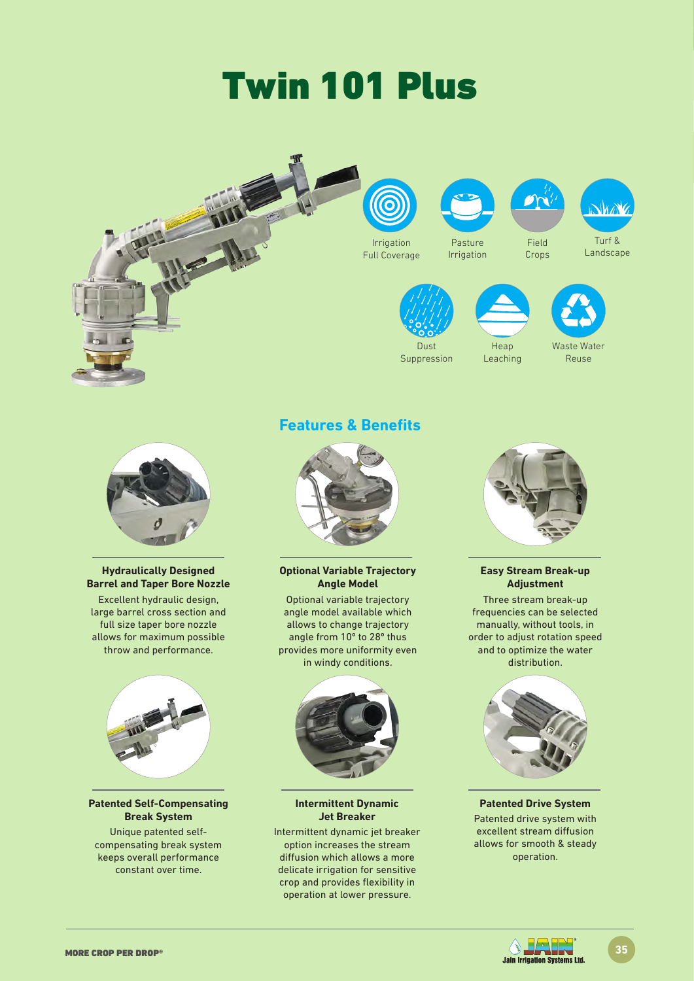# Twin 101 Plus





### **Hydraulically Designed Barrel and Taper Bore Nozzle**

Excellent hydraulic design, large barrel cross section and full size taper bore nozzle allows for maximum possible throw and performance.



### **Patented Self-Compensating Break System**

Unique patented selfcompensating break system keeps overall performance constant over time.

## **Features & Benefits**



**Optional Variable Trajectory Angle Model**

Optional variable trajectory angle model available which allows to change trajectory angle from 10º to 28º thus provides more uniformity even in windy conditions.



**Intermittent Dynamic Jet Breaker**

Intermittent dynamic jet breaker option increases the stream diffusion which allows a more delicate irrigation for sensitive crop and provides flexibility in operation at lower pressure.



### **Easy Stream Break-up Adjustment**

Three stream break-up frequencies can be selected manually, without tools, in order to adjust rotation speed and to optimize the water distribution.



### **Patented Drive System** Patented drive system with

excellent stream diffusion allows for smooth & steady operation.